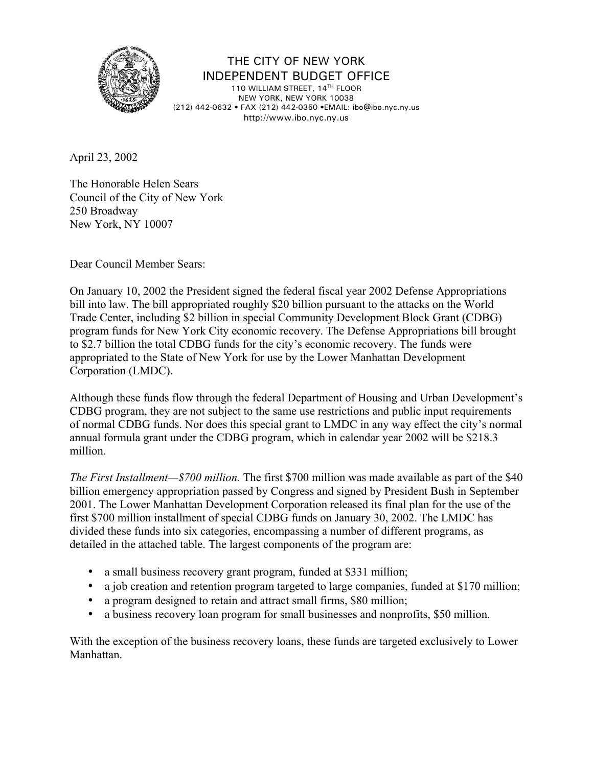

THE CITY OF NEW YORK INDEPENDENT BUDGET OFFICE

110 WILLIAM STREET, 14TH FLOOR NEW YORK, NEW YORK 10038 (212) 442-0632 • FAX (212) 442-0350 •EMAIL: ibo@ibo.nyc.ny.us http://www.ibo.nyc.ny.us

April 23, 2002

The Honorable Helen Sears Council of the City of New York 250 Broadway New York, NY 10007

Dear Council Member Sears:

On January 10, 2002 the President signed the federal fiscal year 2002 Defense Appropriations bill into law. The bill appropriated roughly \$20 billion pursuant to the attacks on the World Trade Center, including \$2 billion in special Community Development Block Grant (CDBG) program funds for New York City economic recovery. The Defense Appropriations bill brought to \$2.7 billion the total CDBG funds for the city's economic recovery. The funds were appropriated to the State of New York for use by the Lower Manhattan Development Corporation (LMDC).

Although these funds flow through the federal Department of Housing and Urban Development's CDBG program, they are not subject to the same use restrictions and public input requirements of normal CDBG funds. Nor does this special grant to LMDC in any way effect the city's normal annual formula grant under the CDBG program, which in calendar year 2002 will be \$218.3 million.

*The First Installment—\$700 million.* The first \$700 million was made available as part of the \$40 billion emergency appropriation passed by Congress and signed by President Bush in September 2001. The Lower Manhattan Development Corporation released its final plan for the use of the first \$700 million installment of special CDBG funds on January 30, 2002. The LMDC has divided these funds into six categories, encompassing a number of different programs, as detailed in the attached table. The largest components of the program are:

- a small business recovery grant program, funded at \$331 million;
- a job creation and retention program targeted to large companies, funded at \$170 million;
- a program designed to retain and attract small firms, \$80 million;
- a business recovery loan program for small businesses and nonprofits, \$50 million.

With the exception of the business recovery loans, these funds are targeted exclusively to Lower Manhattan.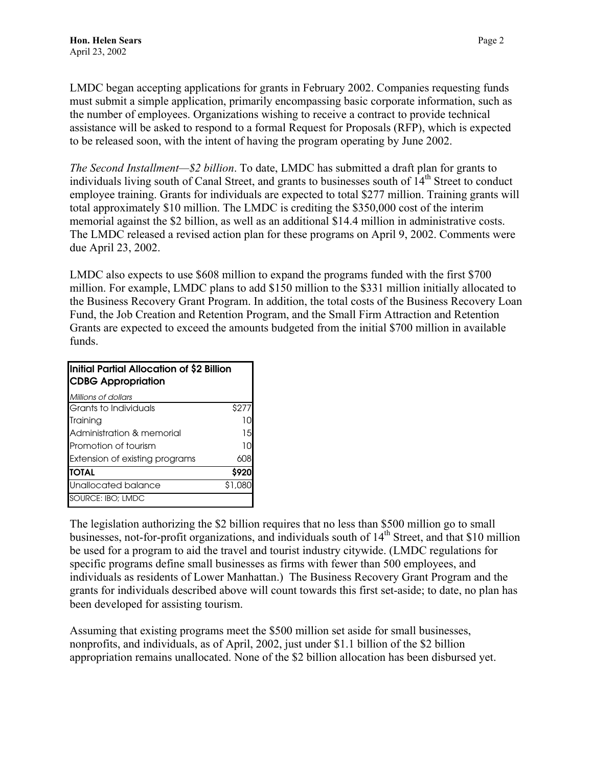LMDC began accepting applications for grants in February 2002. Companies requesting funds must submit a simple application, primarily encompassing basic corporate information, such as the number of employees. Organizations wishing to receive a contract to provide technical assistance will be asked to respond to a formal Request for Proposals (RFP), which is expected to be released soon, with the intent of having the program operating by June 2002.

*The Second Installment—\$2 billion*. To date, LMDC has submitted a draft plan for grants to individuals living south of Canal Street, and grants to businesses south of  $14<sup>th</sup>$  Street to conduct employee training. Grants for individuals are expected to total \$277 million. Training grants will total approximately \$10 million. The LMDC is crediting the \$350,000 cost of the interim memorial against the \$2 billion, as well as an additional \$14.4 million in administrative costs. The LMDC released a revised action plan for these programs on April 9, 2002. Comments were due April 23, 2002.

LMDC also expects to use \$608 million to expand the programs funded with the first \$700 million. For example, LMDC plans to add \$150 million to the \$331 million initially allocated to the Business Recovery Grant Program. In addition, the total costs of the Business Recovery Loan Fund, the Job Creation and Retention Program, and the Small Firm Attraction and Retention Grants are expected to exceed the amounts budgeted from the initial \$700 million in available funds.

| Initial Partial Allocation of \$2 Billion<br><b>CDBG Appropriation</b> |         |
|------------------------------------------------------------------------|---------|
| Millions of dollars                                                    |         |
| Grants to Individuals                                                  | \$277   |
| Training                                                               |         |
| Administration & memorial                                              | 15      |
| <b>Promotion of tourism</b>                                            | 10      |
| Extension of existing programs                                         | 608     |
| <b>TOTAL</b>                                                           | \$920   |
| Unallocated balance                                                    | \$1,080 |
| SOURCE: IBO; LMDC                                                      |         |

The legislation authorizing the \$2 billion requires that no less than \$500 million go to small businesses, not-for-profit organizations, and individuals south of  $14<sup>th</sup>$  Street, and that \$10 million be used for a program to aid the travel and tourist industry citywide. (LMDC regulations for specific programs define small businesses as firms with fewer than 500 employees, and individuals as residents of Lower Manhattan.) The Business Recovery Grant Program and the grants for individuals described above will count towards this first set-aside; to date, no plan has been developed for assisting tourism.

Assuming that existing programs meet the \$500 million set aside for small businesses, nonprofits, and individuals, as of April, 2002, just under \$1.1 billion of the \$2 billion appropriation remains unallocated. None of the \$2 billion allocation has been disbursed yet.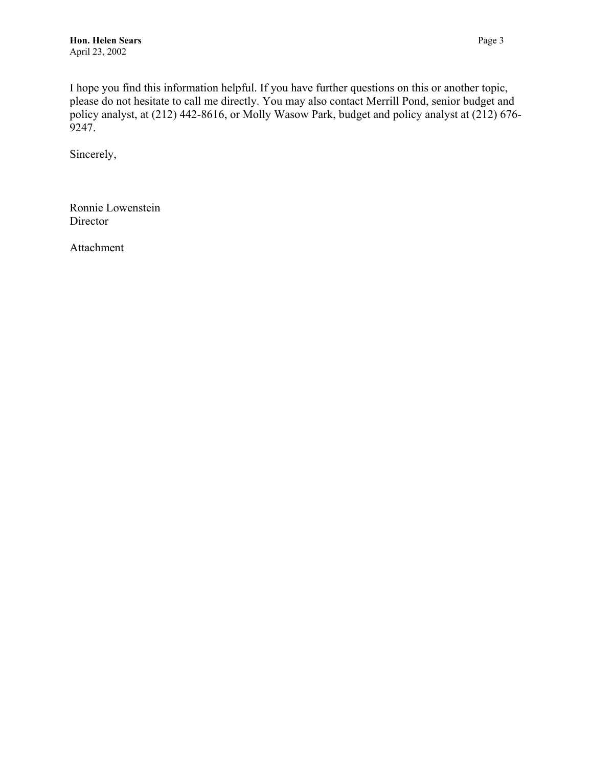I hope you find this information helpful. If you have further questions on this or another topic, please do not hesitate to call me directly. You may also contact Merrill Pond, senior budget and policy analyst, at (212) 442-8616, or Molly Wasow Park, budget and policy analyst at (212) 676- 9247.

Sincerely,

Ronnie Lowenstein Director

Attachment